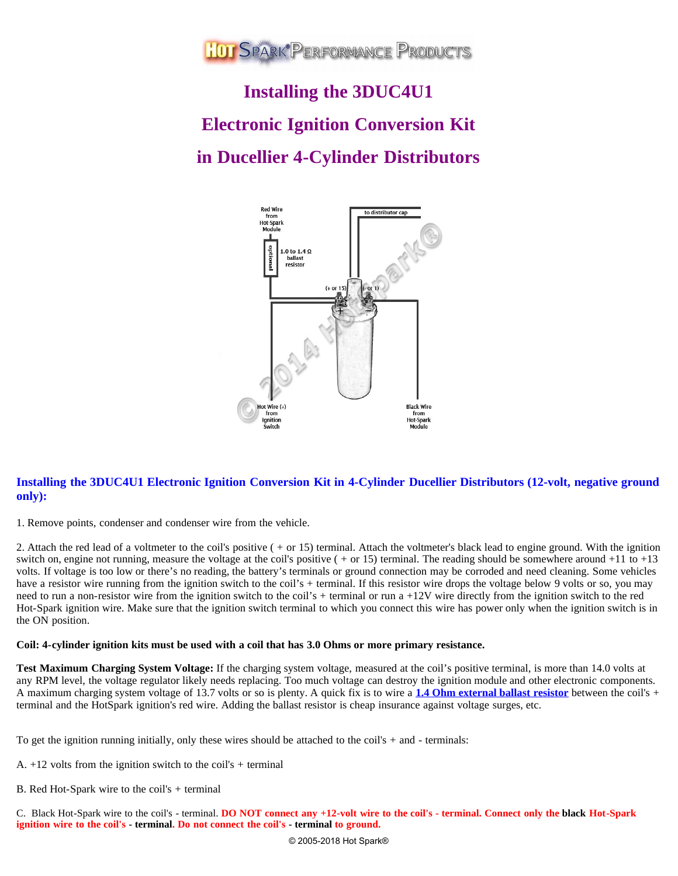

# **Installing the 3DUC4U1 Electronic Ignition Conversion Kit in Ducellier 4-Cylinder Distributors**



# **Installing the 3DUC4U1 Electronic Ignition Conversion Kit in 4-Cylinder Ducellier Distributors (12-volt, negative ground only):**

1. Remove points, condenser and condenser wire from the vehicle.

2. Attach the red lead of a voltmeter to the coil's positive ( + or 15) terminal. Attach the voltmeter's black lead to engine ground. With the ignition switch on, engine not running, measure the voltage at the coil's positive  $( + or 15)$  terminal. The reading should be somewhere around  $+11$  to  $+13$ volts. If voltage is too low or there's no reading, the battery's terminals or ground connection may be corroded and need cleaning. Some vehicles have a resistor wire running from the ignition switch to the coil's + terminal. If this resistor wire drops the voltage below 9 volts or so, you may need to run a non-resistor wire from the ignition switch to the coil's + terminal or run a +12V wire directly from the ignition switch to the red Hot-Spark ignition wire. Make sure that the ignition switch terminal to which you connect this wire has power only when the ignition switch is in the ON position.

### **Coil: 4-cylinder ignition kits must be used with a coil that has 3.0 Ohms or more primary resistance.**

**Test Maximum Charging System Voltage:** If the charging system voltage, measured at the coil's positive terminal, is more than 14.0 volts at any RPM level, the voltage regulator likely needs replacing. Too much voltage can destroy the ignition module and other electronic components. A maximum charging system voltage of 13.7 volts or so is plenty. A quick fix is to wire a **[1.4 Ohm external ballast resistor](https://www.hot-spark.com/1-HS14BR.htm)** between the coil's + terminal and the HotSpark ignition's red wire. Adding the ballast resistor is cheap insurance against voltage surges, etc.

To get the ignition running initially, only these wires should be attached to the coil's + and - terminals:

- A.  $+12$  volts from the ignition switch to the coil's + terminal
- B. Red Hot-Spark wire to the coil's + terminal

C. Black Hot-Spark wire to the coil's - terminal. **DO NOT connect any +12-volt wire to the coil's - terminal. Connect only the black Hot-Spark ignition wire to the coil's - terminal. Do not connect the coil's - terminal to ground.**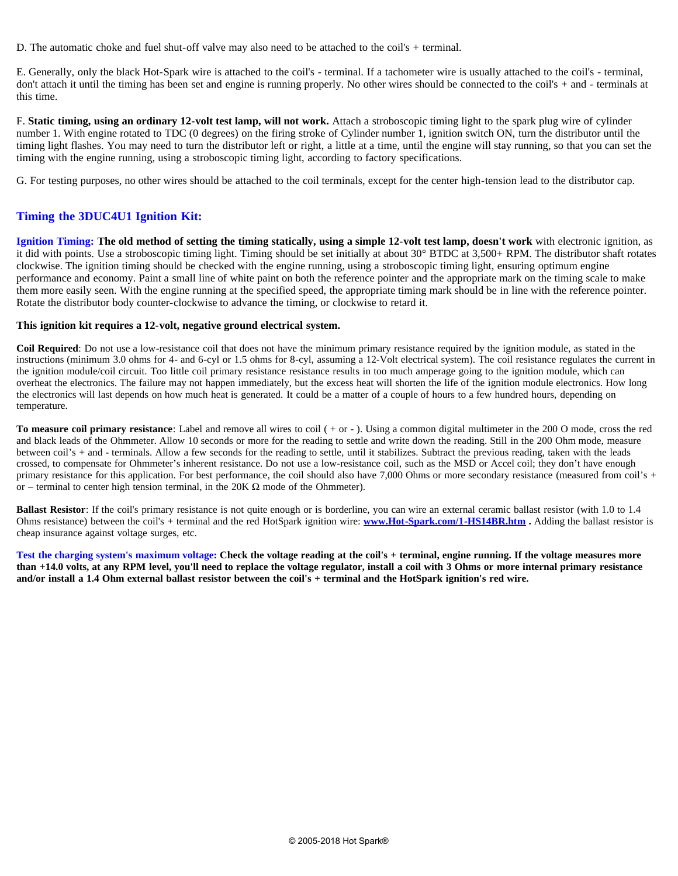D. The automatic choke and fuel shut-off valve may also need to be attached to the coil's + terminal.

E. Generally, only the black Hot-Spark wire is attached to the coil's - terminal. If a tachometer wire is usually attached to the coil's - terminal, don't attach it until the timing has been set and engine is running properly. No other wires should be connected to the coil's + and - terminals at this time.

F. **Static timing, using an ordinary 12-volt test lamp, will not work.** Attach a stroboscopic timing light to the spark plug wire of cylinder number 1. With engine rotated to TDC (0 degrees) on the firing stroke of Cylinder number 1, ignition switch ON, turn the distributor until the timing light flashes. You may need to turn the distributor left or right, a little at a time, until the engine will stay running, so that you can set the timing with the engine running, using a stroboscopic timing light, according to factory specifications.

G. For testing purposes, no other wires should be attached to the coil terminals, except for the center high-tension lead to the distributor cap.

## **Timing the 3DUC4U1 Ignition Kit:**

**Ignition Timing: The old method of setting the timing statically, using a simple 12-volt test lamp, doesn't work** with electronic ignition, as it did with points. Use a stroboscopic timing light. Timing should be set initially at about 30° BTDC at 3,500+ RPM. The distributor shaft rotates clockwise. The ignition timing should be checked with the engine running, using a stroboscopic timing light, ensuring optimum engine performance and economy. Paint a small line of white paint on both the reference pointer and the appropriate mark on the timing scale to make them more easily seen. With the engine running at the specified speed, the appropriate timing mark should be in line with the reference pointer. Rotate the distributor body counter-clockwise to advance the timing, or clockwise to retard it.

#### **This ignition kit requires a 12-volt, negative ground electrical system.**

**Coil Required**: Do not use a low-resistance coil that does not have the minimum primary resistance required by the ignition module, as stated in the instructions (minimum 3.0 ohms for 4- and 6-cyl or 1.5 ohms for 8-cyl, assuming a 12-Volt electrical system). The coil resistance regulates the current in the ignition module/coil circuit. Too little coil primary resistance resistance results in too much amperage going to the ignition module, which can overheat the electronics. The failure may not happen immediately, but the excess heat will shorten the life of the ignition module electronics. How long the electronics will last depends on how much heat is generated. It could be a matter of a couple of hours to a few hundred hours, depending on temperature.

**To measure coil primary resistance**: Label and remove all wires to coil ( + or - ). Using a common digital multimeter in the 200 O mode, cross the red and black leads of the Ohmmeter. Allow 10 seconds or more for the reading to settle and write down the reading. Still in the 200 Ohm mode, measure between coil's + and - terminals. Allow a few seconds for the reading to settle, until it stabilizes. Subtract the previous reading, taken with the leads crossed, to compensate for Ohmmeter's inherent resistance. Do not use a low-resistance coil, such as the MSD or Accel coil; they don't have enough primary resistance for this application. For best performance, the coil should also have 7,000 Ohms or more secondary resistance (measured from coil's + or – terminal to center high tension terminal, in the 20K  $\Omega$  mode of the Ohmmeter).

**Ballast Resistor**: If the coil's primary resistance is not quite enough or is borderline, you can wire an external ceramic ballast resistor (with 1.0 to 1.4 Ohms resistance) between the coil's + terminal and the red HotSpark ignition wire: **[www.Hot-Spark.com/1-HS14BR.htm](https://www.hot-spark.com/1-HS14BR.htm) .** Adding the ballast resistor is cheap insurance against voltage surges, etc.

**Test the charging system's maximum voltage: Check the voltage reading at the coil's + terminal, engine running. If the voltage measures more than +14.0 volts, at any RPM level, you'll need to replace the voltage regulator, install a coil with 3 Ohms or more internal primary resistance and/or install a 1.4 Ohm external ballast resistor between the coil's + terminal and the HotSpark ignition's red wire.**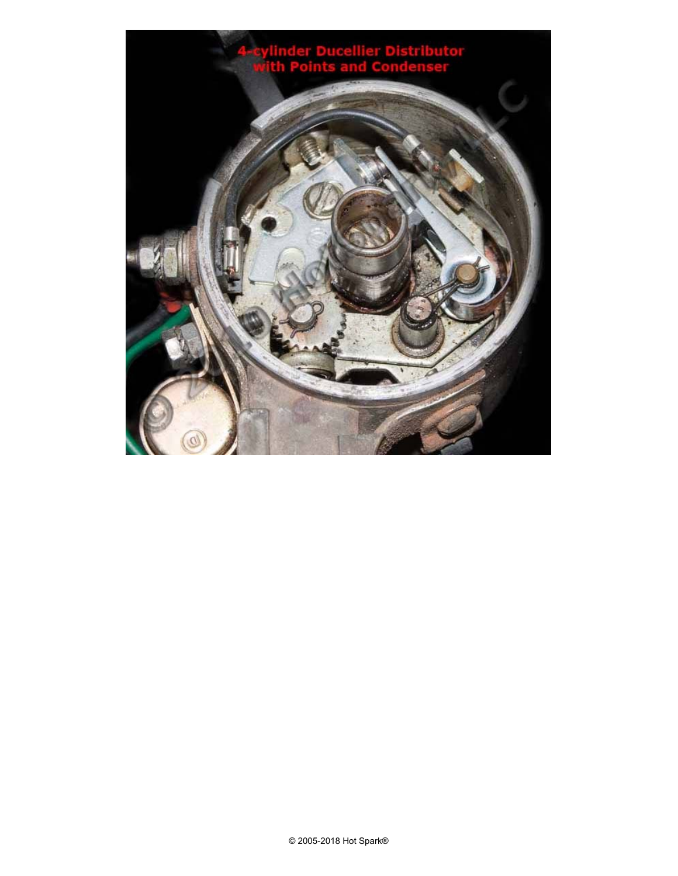